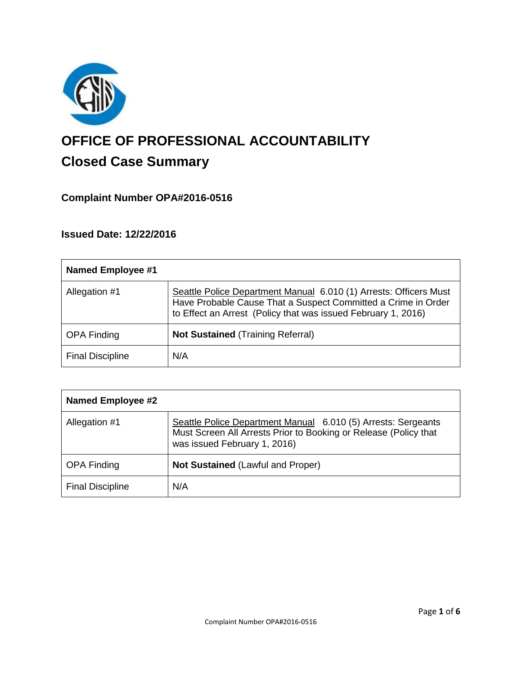

# **OFFICE OF PROFESSIONAL ACCOUNTABILITY Closed Case Summary**

## **Complaint Number OPA#2016-0516**

## **Issued Date: 12/22/2016**

| <b>Named Employee #1</b> |                                                                                                                                                                                                     |
|--------------------------|-----------------------------------------------------------------------------------------------------------------------------------------------------------------------------------------------------|
| Allegation #1            | Seattle Police Department Manual 6.010 (1) Arrests: Officers Must<br>Have Probable Cause That a Suspect Committed a Crime in Order<br>to Effect an Arrest (Policy that was issued February 1, 2016) |
| <b>OPA Finding</b>       | <b>Not Sustained (Training Referral)</b>                                                                                                                                                            |
| <b>Final Discipline</b>  | N/A                                                                                                                                                                                                 |

| <b>Named Employee #2</b> |                                                                                                                                                                   |
|--------------------------|-------------------------------------------------------------------------------------------------------------------------------------------------------------------|
| Allegation #1            | Seattle Police Department Manual 6.010 (5) Arrests: Sergeants<br>Must Screen All Arrests Prior to Booking or Release (Policy that<br>was issued February 1, 2016) |
| <b>OPA Finding</b>       | <b>Not Sustained (Lawful and Proper)</b>                                                                                                                          |
| <b>Final Discipline</b>  | N/A                                                                                                                                                               |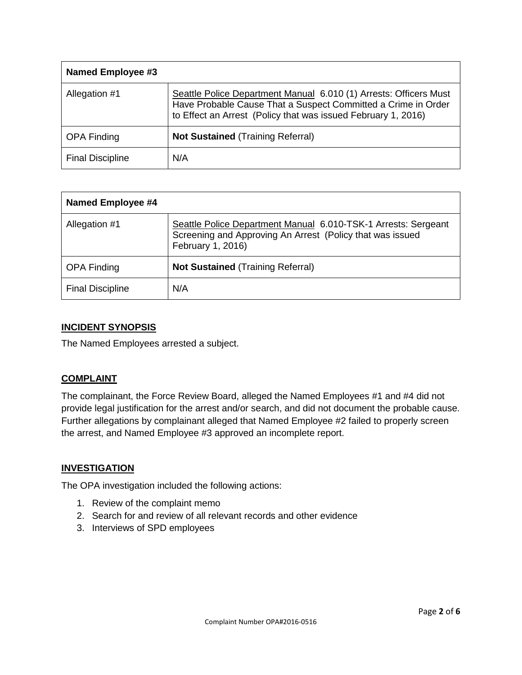| Named Employee #3       |                                                                                                                                                                                                     |
|-------------------------|-----------------------------------------------------------------------------------------------------------------------------------------------------------------------------------------------------|
| Allegation #1           | Seattle Police Department Manual 6.010 (1) Arrests: Officers Must<br>Have Probable Cause That a Suspect Committed a Crime in Order<br>to Effect an Arrest (Policy that was issued February 1, 2016) |
| <b>OPA Finding</b>      | <b>Not Sustained (Training Referral)</b>                                                                                                                                                            |
| <b>Final Discipline</b> | N/A                                                                                                                                                                                                 |

| <b>Named Employee #4</b> |                                                                                                                                                  |
|--------------------------|--------------------------------------------------------------------------------------------------------------------------------------------------|
| Allegation #1            | Seattle Police Department Manual 6.010-TSK-1 Arrests: Sergeant<br>Screening and Approving An Arrest (Policy that was issued<br>February 1, 2016) |
| <b>OPA Finding</b>       | <b>Not Sustained (Training Referral)</b>                                                                                                         |
| <b>Final Discipline</b>  | N/A                                                                                                                                              |

## **INCIDENT SYNOPSIS**

The Named Employees arrested a subject.

## **COMPLAINT**

The complainant, the Force Review Board, alleged the Named Employees #1 and #4 did not provide legal justification for the arrest and/or search, and did not document the probable cause. Further allegations by complainant alleged that Named Employee #2 failed to properly screen the arrest, and Named Employee #3 approved an incomplete report.

## **INVESTIGATION**

The OPA investigation included the following actions:

- 1. Review of the complaint memo
- 2. Search for and review of all relevant records and other evidence
- 3. Interviews of SPD employees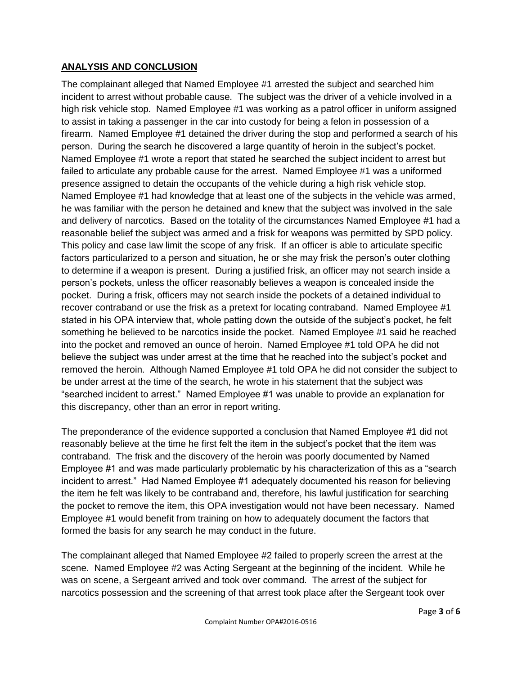## **ANALYSIS AND CONCLUSION**

The complainant alleged that Named Employee #1 arrested the subject and searched him incident to arrest without probable cause. The subject was the driver of a vehicle involved in a high risk vehicle stop. Named Employee #1 was working as a patrol officer in uniform assigned to assist in taking a passenger in the car into custody for being a felon in possession of a firearm. Named Employee #1 detained the driver during the stop and performed a search of his person. During the search he discovered a large quantity of heroin in the subject's pocket. Named Employee #1 wrote a report that stated he searched the subject incident to arrest but failed to articulate any probable cause for the arrest. Named Employee #1 was a uniformed presence assigned to detain the occupants of the vehicle during a high risk vehicle stop. Named Employee #1 had knowledge that at least one of the subjects in the vehicle was armed, he was familiar with the person he detained and knew that the subject was involved in the sale and delivery of narcotics. Based on the totality of the circumstances Named Employee #1 had a reasonable belief the subject was armed and a frisk for weapons was permitted by SPD policy. This policy and case law limit the scope of any frisk. If an officer is able to articulate specific factors particularized to a person and situation, he or she may frisk the person's outer clothing to determine if a weapon is present. During a justified frisk, an officer may not search inside a person's pockets, unless the officer reasonably believes a weapon is concealed inside the pocket. During a frisk, officers may not search inside the pockets of a detained individual to recover contraband or use the frisk as a pretext for locating contraband. Named Employee #1 stated in his OPA interview that, whole patting down the outside of the subject's pocket, he felt something he believed to be narcotics inside the pocket. Named Employee #1 said he reached into the pocket and removed an ounce of heroin. Named Employee #1 told OPA he did not believe the subject was under arrest at the time that he reached into the subject's pocket and removed the heroin. Although Named Employee #1 told OPA he did not consider the subject to be under arrest at the time of the search, he wrote in his statement that the subject was "searched incident to arrest." Named Employee #1 was unable to provide an explanation for this discrepancy, other than an error in report writing.

The preponderance of the evidence supported a conclusion that Named Employee #1 did not reasonably believe at the time he first felt the item in the subject's pocket that the item was contraband. The frisk and the discovery of the heroin was poorly documented by Named Employee #1 and was made particularly problematic by his characterization of this as a "search incident to arrest." Had Named Employee #1 adequately documented his reason for believing the item he felt was likely to be contraband and, therefore, his lawful justification for searching the pocket to remove the item, this OPA investigation would not have been necessary. Named Employee #1 would benefit from training on how to adequately document the factors that formed the basis for any search he may conduct in the future.

The complainant alleged that Named Employee #2 failed to properly screen the arrest at the scene. Named Employee #2 was Acting Sergeant at the beginning of the incident. While he was on scene, a Sergeant arrived and took over command. The arrest of the subject for narcotics possession and the screening of that arrest took place after the Sergeant took over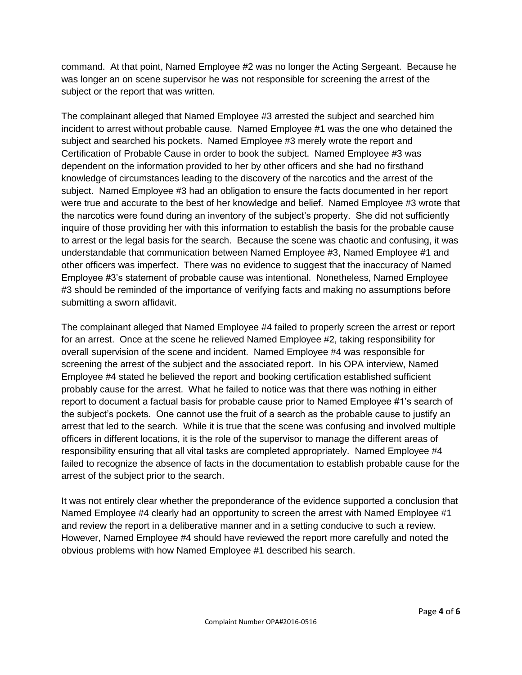command. At that point, Named Employee #2 was no longer the Acting Sergeant. Because he was longer an on scene supervisor he was not responsible for screening the arrest of the subject or the report that was written.

The complainant alleged that Named Employee #3 arrested the subject and searched him incident to arrest without probable cause. Named Employee #1 was the one who detained the subject and searched his pockets. Named Employee #3 merely wrote the report and Certification of Probable Cause in order to book the subject. Named Employee #3 was dependent on the information provided to her by other officers and she had no firsthand knowledge of circumstances leading to the discovery of the narcotics and the arrest of the subject. Named Employee #3 had an obligation to ensure the facts documented in her report were true and accurate to the best of her knowledge and belief. Named Employee #3 wrote that the narcotics were found during an inventory of the subject's property. She did not sufficiently inquire of those providing her with this information to establish the basis for the probable cause to arrest or the legal basis for the search. Because the scene was chaotic and confusing, it was understandable that communication between Named Employee #3, Named Employee #1 and other officers was imperfect. There was no evidence to suggest that the inaccuracy of Named Employee #3's statement of probable cause was intentional. Nonetheless, Named Employee #3 should be reminded of the importance of verifying facts and making no assumptions before submitting a sworn affidavit.

The complainant alleged that Named Employee #4 failed to properly screen the arrest or report for an arrest. Once at the scene he relieved Named Employee #2, taking responsibility for overall supervision of the scene and incident. Named Employee #4 was responsible for screening the arrest of the subject and the associated report. In his OPA interview, Named Employee #4 stated he believed the report and booking certification established sufficient probably cause for the arrest. What he failed to notice was that there was nothing in either report to document a factual basis for probable cause prior to Named Employee #1's search of the subject's pockets. One cannot use the fruit of a search as the probable cause to justify an arrest that led to the search. While it is true that the scene was confusing and involved multiple officers in different locations, it is the role of the supervisor to manage the different areas of responsibility ensuring that all vital tasks are completed appropriately. Named Employee #4 failed to recognize the absence of facts in the documentation to establish probable cause for the arrest of the subject prior to the search.

It was not entirely clear whether the preponderance of the evidence supported a conclusion that Named Employee #4 clearly had an opportunity to screen the arrest with Named Employee #1 and review the report in a deliberative manner and in a setting conducive to such a review. However, Named Employee #4 should have reviewed the report more carefully and noted the obvious problems with how Named Employee #1 described his search.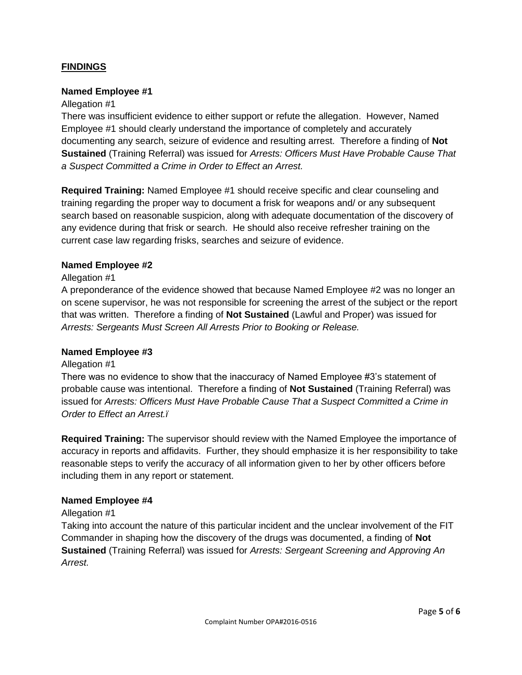## **FINDINGS**

#### **Named Employee #1**

#### Allegation #1

There was insufficient evidence to either support or refute the allegation. However, Named Employee #1 should clearly understand the importance of completely and accurately documenting any search, seizure of evidence and resulting arrest. Therefore a finding of **Not Sustained** (Training Referral) was issued for *Arrests: Officers Must Have Probable Cause That a Suspect Committed a Crime in Order to Effect an Arrest.*

**Required Training:** Named Employee #1 should receive specific and clear counseling and training regarding the proper way to document a frisk for weapons and/ or any subsequent search based on reasonable suspicion, along with adequate documentation of the discovery of any evidence during that frisk or search. He should also receive refresher training on the current case law regarding frisks, searches and seizure of evidence.

#### **Named Employee #2**

#### Allegation #1

A preponderance of the evidence showed that because Named Employee #2 was no longer an on scene supervisor, he was not responsible for screening the arrest of the subject or the report that was written. Therefore a finding of **Not Sustained** (Lawful and Proper) was issued for *Arrests: Sergeants Must Screen All Arrests Prior to Booking or Release.*

#### **Named Employee #3**

#### Allegation #1

There was no evidence to show that the inaccuracy of Named Employee #3's statement of probable cause was intentional. Therefore a finding of **Not Sustained** (Training Referral) was issued for *Arrests: Officers Must Have Probable Cause That a Suspect Committed a Crime in Order to Effect an Arrest.ï*

**Required Training:** The supervisor should review with the Named Employee the importance of accuracy in reports and affidavits. Further, they should emphasize it is her responsibility to take reasonable steps to verify the accuracy of all information given to her by other officers before including them in any report or statement.

#### **Named Employee #4**

#### Allegation #1

Taking into account the nature of this particular incident and the unclear involvement of the FIT Commander in shaping how the discovery of the drugs was documented, a finding of **Not Sustained** (Training Referral) was issued for *Arrests: Sergeant Screening and Approving An Arrest.*